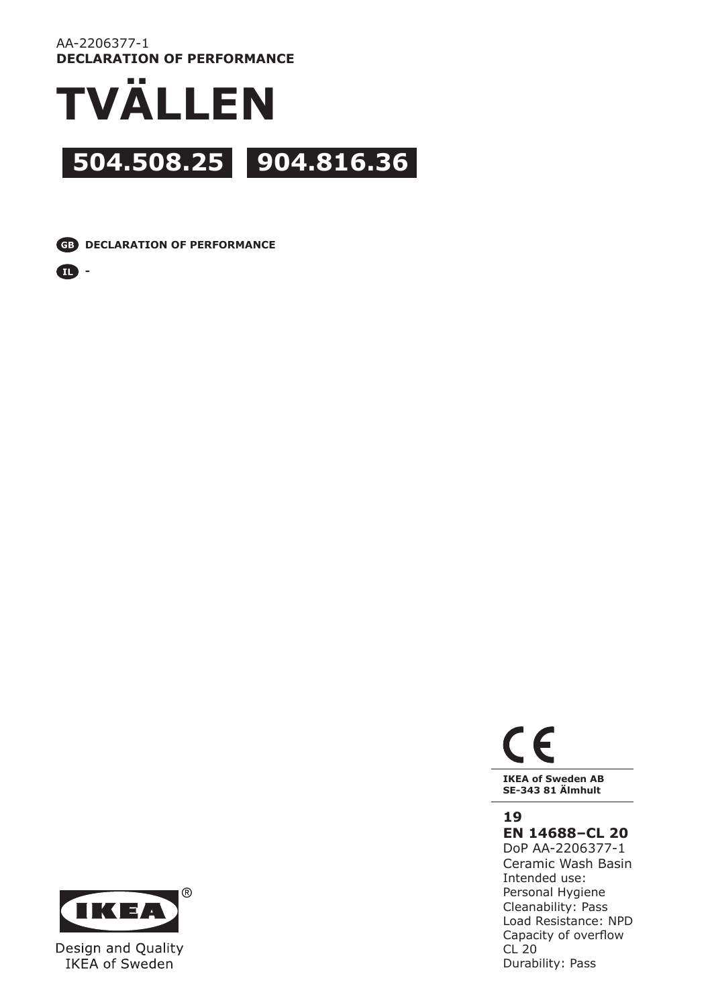#### AA-2206377-1 **DECLARATION OF PERFORMANCE**



**CD** DECLARATION OF PERFORMANCE





IKEA of Sweden

# $\epsilon$ **IKEA of Sweden AB**

**SE-343 81 Älmhult**

## **19**

**EN 14688–CL 20**

DoP AA-2206377-1 Ceramic Wash Basin Intended use: Personal Hygiene Cleanability: Pass Load Resistance: NPD Capacity of overflow CL 20 Durability: Pass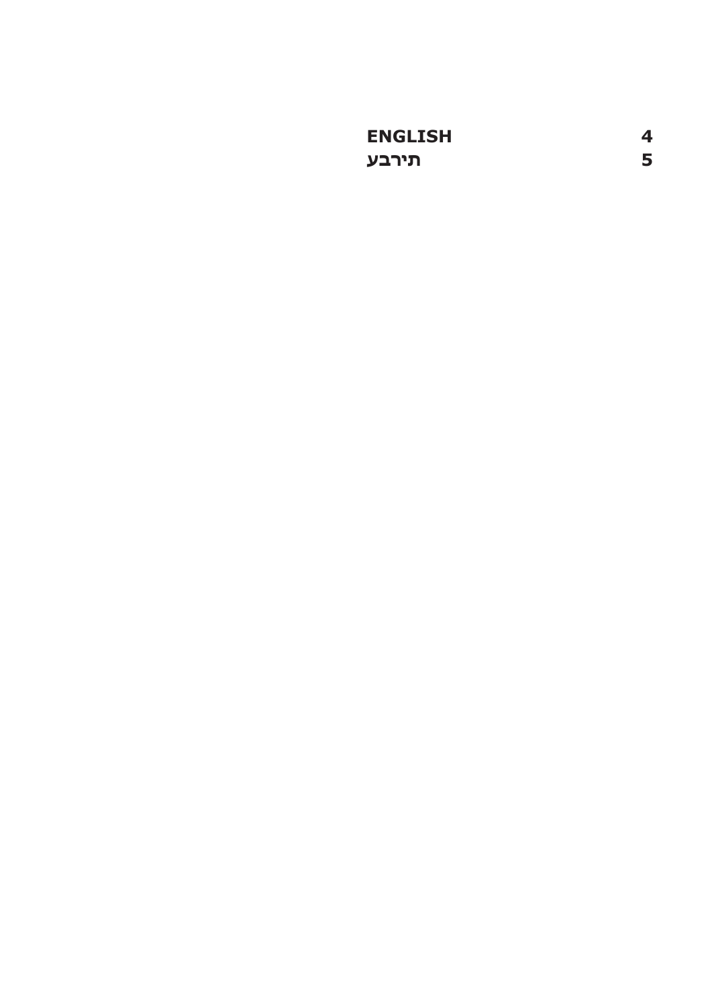| <b>ENGLISH</b> | 4 |
|----------------|---|
| תירבע          | 5 |
|                |   |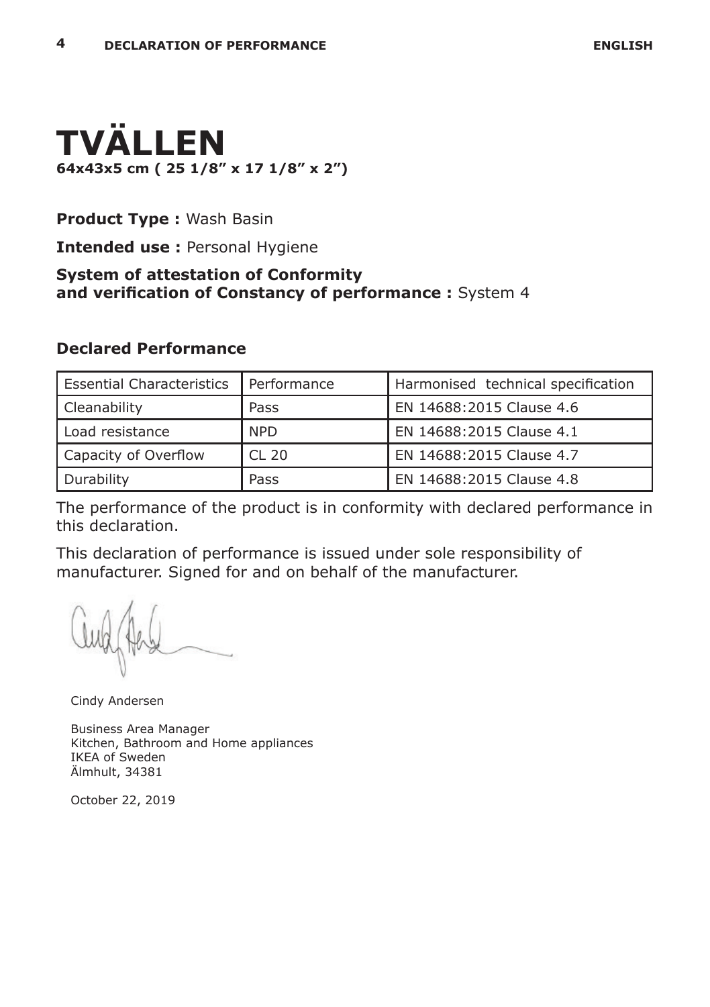

### **Product Type :** Wash Basin

**Intended use :** Personal Hygiene

# **System of attestation of Conformity and verification of Constancy of performance :** System 4

#### **Declared Performance**

| Essential Characteristics | l Performance    | Harmonised technical specification |
|---------------------------|------------------|------------------------------------|
| Cleanability              | Pass             | EN 14688:2015 Clause 4.6           |
| l Load resistance         | <b>NPD</b>       | EN 14688:2015 Clause 4.1           |
| Capacity of Overflow      | CL <sub>20</sub> | EN 14688:2015 Clause 4.7           |
| Durability                | Pass             | EN 14688:2015 Clause 4.8           |

The performance of the product is in conformity with declared performance in this declaration.

This declaration of performance is issued under sole responsibility of manufacturer. Signed for and on behalf of the manufacturer.

Cindy Andersen

Business Area Manager Kitchen, Bathroom and Home appliances IKEA of Sweden Älmhult, 34381

October 22, 2019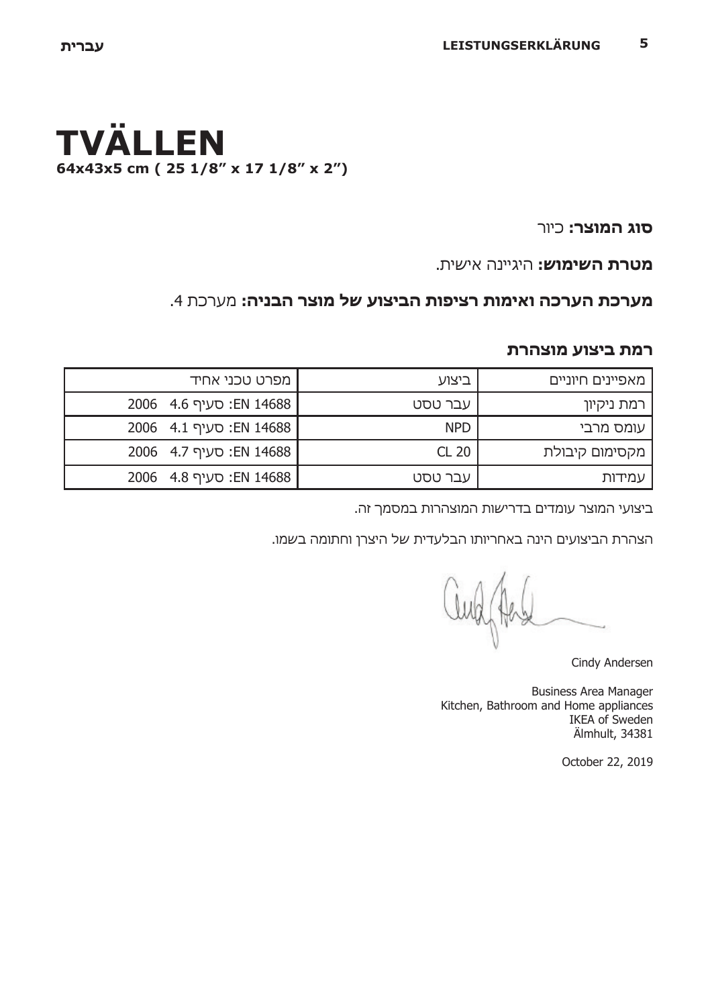# **TVÄLLEN 64x43x5 cm ( 25 1/8" x 17 1/8" x 2")**

**סוג המוצר:** כיור

**מטרת השימוש:** היגיינה אישית.

# **מערכת הערכה ואימות רציפות הביצוע של מוצר הבניה:** מערכת .4

#### **רמת ביצוע מוצהרת**

| <b>ו</b> מפרט טכני אחיד | ביצוע      | מאפיינים חיוניים |
|-------------------------|------------|------------------|
| EN 14688 EN: סעיף 4.6   | עבר טסט    | רמת ניקיון       |
| : סעיף 4.1 EN 14688     | <b>NPD</b> | עומס מרבי        |
| :EN 14688   EN 14688    | CL 20      | מקסימום קיבולת   |
| EN 14688 :EN 14688      | עבר טסט    | עמידות           |

ביצועי המוצר עומדים בדרישות המוצהרות במסמך זה.

הצהרת הביצועים הינה באחריותו הבלעדית של היצרן וחתומה בשמו.

Cindy Andersen

Business Area Manager Kitchen, Bathroom and Home appliances IKEA of Sweden Älmhult, 34381

October 22, 2019